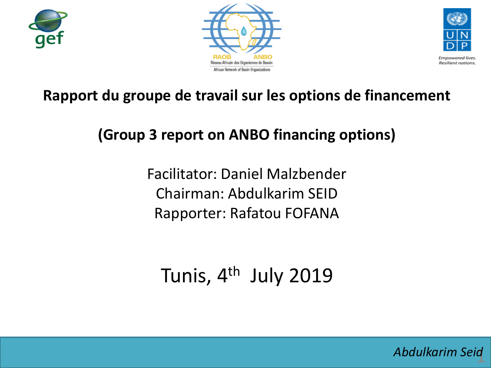





**Empowered lives** Resilient nations.

#### **Rapport du groupe de travail sur les options de financement**

### **(Group 3 report on ANBO financing options)**

Facilitator: Daniel Malzbender Chairman: Abdulkarim SEID Rapporter: Rafatou FOFANA

# Tunis, 4<sup>th</sup> July 2019

1 *Abdulkarim Seid*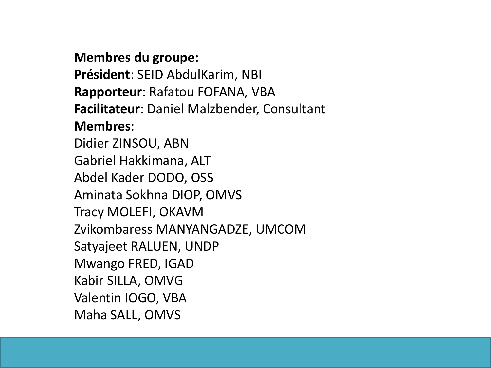#### **Membres du groupe:**

**Président**: SEID AbdulKarim, NBI **Rapporteur**: Rafatou FOFANA, VBA **Facilitateur**: Daniel Malzbender, Consultant **Membres**:

Didier ZINSOU, ABN Gabriel Hakkimana, ALT Abdel Kader DODO, OSS Aminata Sokhna DIOP, OMVS Tracy MOLEFI, OKAVM Zvikombaress MANYANGADZE, UMCOM Satyajeet RALUEN, UNDP Mwango FRED, IGAD Kabir SILLA, OMVG Valentin IOGO, VBA Maha SALL, OMVS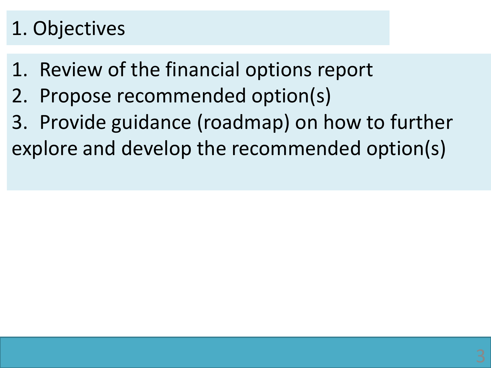# 1. Objectives

- 1. Review of the financial options report
- 2. Propose recommended option(s)
- 3. Provide guidance (roadmap) on how to further explore and develop the recommended option(s)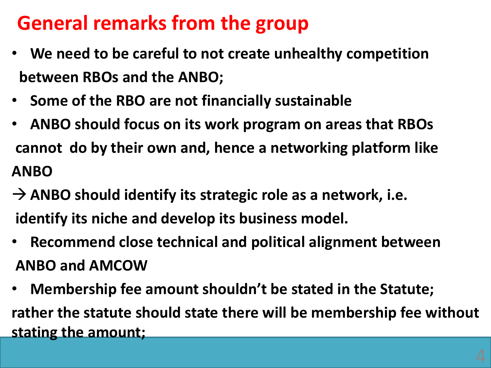# **General remarks from the group**

- **We need to be careful to not create unhealthy competition between RBOs and the ANBO;**
- **Some of the RBO are not financially sustainable**
- **ANBO should focus on its work program on areas that RBOs cannot do by their own and, hence a networking platform like ANBO**
- → ANBO should identify its strategic role as a network, i.e. **identify its niche and develop its business model.**
- **Recommend close technical and political alignment between ANBO and AMCOW**
- **Membership fee amount shouldn't be stated in the Statute; rather the statute should state there will be membership fee without stating the amount;**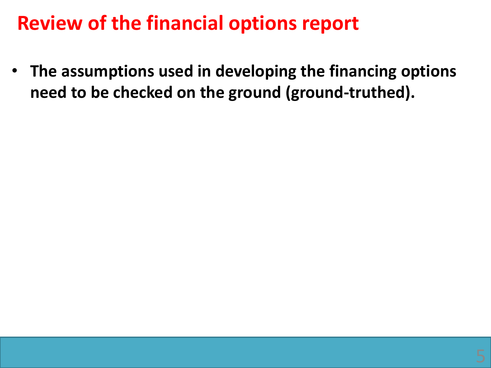## **Review of the financial options report**

• **The assumptions used in developing the financing options need to be checked on the ground (ground-truthed).**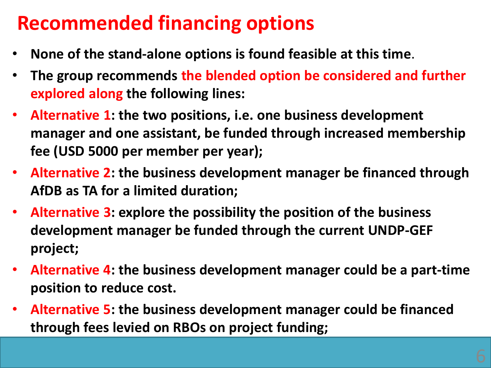# **Recommended financing options**

- **None of the stand-alone options is found feasible at this time**.
- **The group recommends the blended option be considered and further explored along the following lines:**
- **Alternative 1: the two positions, i.e. one business development manager and one assistant, be funded through increased membership fee (USD 5000 per member per year);**
- **Alternative 2: the business development manager be financed through AfDB as TA for a limited duration;**
- **Alternative 3: explore the possibility the position of the business development manager be funded through the current UNDP-GEF project;**
- **Alternative 4: the business development manager could be a part-time position to reduce cost.**
- **Alternative 5: the business development manager could be financed through fees levied on RBOs on project funding;**